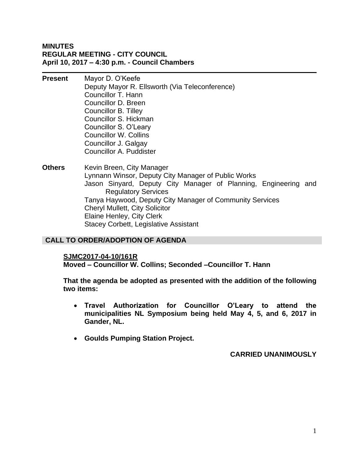## **MINUTES REGULAR MEETING - CITY COUNCIL April 10, 2017 – 4:30 p.m. - Council Chambers**

- **Present** Mayor D. O'Keefe Deputy Mayor R. Ellsworth (Via Teleconference) Councillor T. Hann Councillor D. Breen Councillor B. Tilley Councillor S. Hickman Councillor S. O'Leary Councillor W. Collins Councillor J. Galgay Councillor A. Puddister
- **Others** Kevin Breen, City Manager Lynnann Winsor, Deputy City Manager of Public Works Jason Sinyard, Deputy City Manager of Planning, Engineering and Regulatory Services Tanya Haywood, Deputy City Manager of Community Services Cheryl Mullett, City Solicitor Elaine Henley, City Clerk Stacey Corbett, Legislative Assistant

# **CALL TO ORDER/ADOPTION OF AGENDA**

### **SJMC2017-04-10/161R**

**Moved – Councillor W. Collins; Seconded –Councillor T. Hann**

**That the agenda be adopted as presented with the addition of the following two items:**

- **Travel Authorization for Councillor O'Leary to attend the municipalities NL Symposium being held May 4, 5, and 6, 2017 in Gander, NL.**
- **Goulds Pumping Station Project.**

**CARRIED UNANIMOUSLY**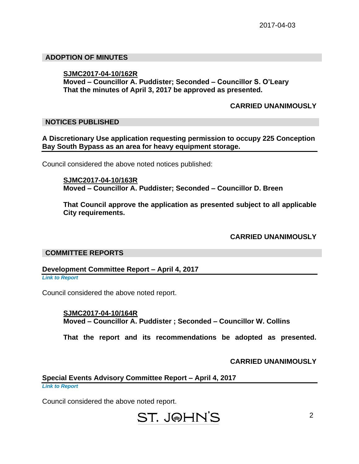## **ADOPTION OF MINUTES**

## **SJMC2017-04-10/162R**

**Moved – Councillor A. Puddister; Seconded – Councillor S. O'Leary That the minutes of April 3, 2017 be approved as presented.**

## **CARRIED UNANIMOUSLY**

## **NOTICES PUBLISHED**

## **A Discretionary Use application requesting permission to occupy 225 Conception Bay South Bypass as an area for heavy equipment storage.**

Council considered the above noted notices published:

**SJMC2017-04-10/163R Moved – Councillor A. Puddister; Seconded – Councillor D. Breen**

**That Council approve the application as presented subject to all applicable City requirements.**

**CARRIED UNANIMOUSLY**

### **COMMITTEE REPORTS**

**Development Committee Report – April 4, 2017**

*Link to Report*

Council considered the above noted report.

**SJMC2017-04-10/164R Moved – Councillor A. Puddister ; Seconded – Councillor W. Collins**

**That the report and its recommendations be adopted as presented.**

**CARRIED UNANIMOUSLY**

# **Special Events Advisory Committee Report – April 4, 2017**

*Link to Report*

Council considered the above noted report.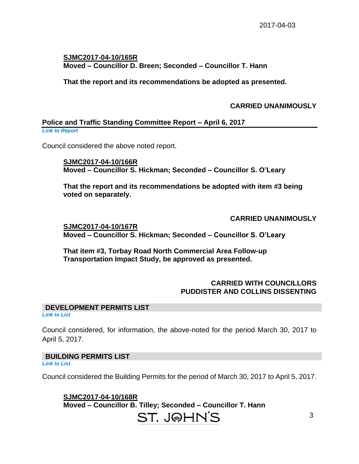# **SJMC2017-04-10/165R Moved – Councillor D. Breen; Seconded – Councillor T. Hann**

**That the report and its recommendations be adopted as presented.**

**CARRIED UNANIMOUSLY**

## **Police and Traffic Standing Committee Report – April 6, 2017**

*Link to Report*

Council considered the above noted report.

**SJMC2017-04-10/166R Moved – Councillor S. Hickman; Seconded – Councillor S. O'Leary**

**That the report and its recommendations be adopted with item #3 being voted on separately.**

**CARRIED UNANIMOUSLY**

**SJMC2017-04-10/167R Moved – Councillor S. Hickman; Seconded – Councillor S. O'Leary**

**That item #3, Torbay Road North Commercial Area Follow-up Transportation Impact Study, be approved as presented.**

# **CARRIED WITH COUNCILLORS PUDDISTER AND COLLINS DISSENTING**

# **DEVELOPMENT PERMITS LIST**

*Link to List*

Council considered, for information, the above-noted for the period March 30, 2017 to April 5, 2017.

# **BUILDING PERMITS LIST**

*Link to List*

Council considered the Building Permits for the period of March 30, 2017 to April 5, 2017.

**SJMC2017-04-10/168R Moved – Councillor B. Tilley; Seconded – Councillor T. Hann**

# ST. J@HN'S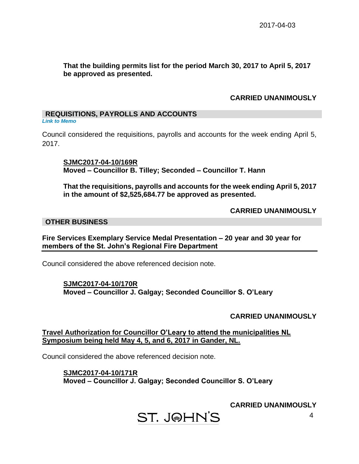## **That the building permits list for the period March 30, 2017 to April 5, 2017 be approved as presented.**

# **CARRIED UNANIMOUSLY**

## **REQUISITIONS, PAYROLLS AND ACCOUNTS**

*Link to Memo*

Council considered the requisitions, payrolls and accounts for the week ending April 5, 2017.

**SJMC2017-04-10/169R Moved – Councillor B. Tilley; Seconded – Councillor T. Hann**

**That the requisitions, payrolls and accounts for the week ending April 5, 2017 in the amount of \$2,525,684.77 be approved as presented.**

## **CARRIED UNANIMOUSLY**

### **OTHER BUSINESS**

**Fire Services Exemplary Service Medal Presentation – 20 year and 30 year for members of the St. John's Regional Fire Department**

Council considered the above referenced decision note.

**SJMC2017-04-10/170R Moved – Councillor J. Galgay; Seconded Councillor S. O'Leary**

**CARRIED UNANIMOUSLY**

**Travel Authorization for Councillor O'Leary to attend the municipalities NL Symposium being held May 4, 5, and 6, 2017 in Gander, NL.**

Council considered the above referenced decision note.

**SJMC2017-04-10/171R Moved – Councillor J. Galgay; Seconded Councillor S. O'Leary**

**CARRIED UNANIMOUSLY**

**ST. J@HN'S**